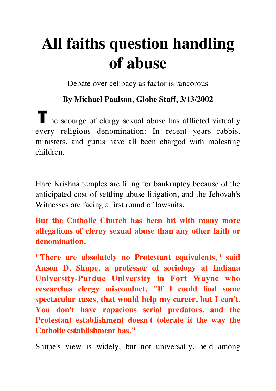## **All faiths question handling of abuse**

Debate over celibacy as factor is rancorous

## **By Michael Paulson, Globe Staff, 3/13/2002**

The scourge of clergy sexual abuse has afflicted virtually every religious denomination: In recent years rabbis, ministers, and gurus have all been charged with molesting children.

Hare Krishna temples are filing for bankruptcy because of the anticipated cost of settling abuse litigation, and the Jehovah's Witnesses are facing a first round of lawsuits.

**But the Catholic Church has been hit with many more allegations of clergy sexual abuse than any other faith or denomination.**

**''There are absolutely no Protestant equivalents,'' said Anson D. Shupe, a professor of sociology at Indiana University-Purdue University in Fort Wayne who researches clergy misconduct. ''If I could find some spectacular cases, that would help my career, but I can't. You don't have rapacious serial predators, and the Protestant establishment doesn't tolerate it the way the Catholic establishment has.''**

Shupe's view is widely, but not universally, held among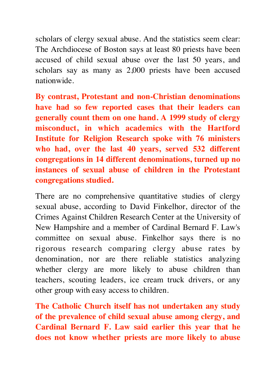scholars of clergy sexual abuse. And the statistics seem clear: The Archdiocese of Boston says at least 80 priests have been accused of child sexual abuse over the last 50 years, and scholars say as many as 2,000 priests have been accused nationwide.

**By contrast, Protestant and non-Christian denominations have had so few reported cases that their leaders can generally count them on one hand. A 1999 study of clergy misconduct, in which academics with the Hartford Institute for Religion Research spoke with 76 ministers who had, over the last 40 years, served 532 different congregations in 14 different denominations, turned up no instances of sexual abuse of children in the Protestant congregations studied.**

There are no comprehensive quantitative studies of clergy sexual abuse, according to David Finkelhor, director of the Crimes Against Children Research Center at the University of New Hampshire and a member of Cardinal Bernard F. Law's committee on sexual abuse. Finkelhor says there is no rigorous research comparing clergy abuse rates by denomination, nor are there reliable statistics analyzing whether clergy are more likely to abuse children than teachers, scouting leaders, ice cream truck drivers, or any other group with easy access to children.

**The Catholic Church itself has not undertaken any study of the prevalence of child sexual abuse among clergy, and Cardinal Bernard F. Law said earlier this year that he does not know whether priests are more likely to abuse**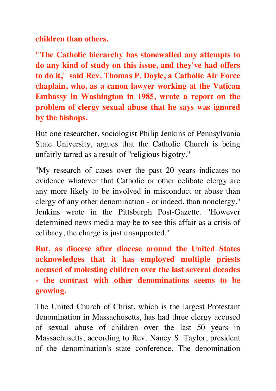**children than others.**

**''The Catholic hierarchy has stonewalled any attempts to do any kind of study on this issue, and they've had offers to do it,'' said Rev. Thomas P. Doyle, a Catholic Air Force chaplain, who, as a canon lawyer working at the Vatican Embassy in Washington in 1985, wrote a report on the problem of clergy sexual abuse that he says was ignored by the bishops.**

But one researcher, sociologist Philip Jenkins of Pennsylvania State University, argues that the Catholic Church is being unfairly tarred as a result of ''religious bigotry.''

''My research of cases over the past 20 years indicates no evidence whatever that Catholic or other celibate clergy are any more likely to be involved in misconduct or abuse than clergy of any other denomination - or indeed, than nonclergy,'' Jenkins wrote in the Pittsburgh Post-Gazette. ''However determined news media may be to see this affair as a crisis of celibacy, the charge is just unsupported.''

**But, as diocese after diocese around the United States acknowledges that it has employed multiple priests accused of molesting children over the last several decades - the contrast with other denominations seems to be growing.**

The United Church of Christ, which is the largest Protestant denomination in Massachusetts, has had three clergy accused of sexual abuse of children over the last 50 years in Massachusetts, according to Rev. Nancy S. Taylor, president of the denomination's state conference. The denomination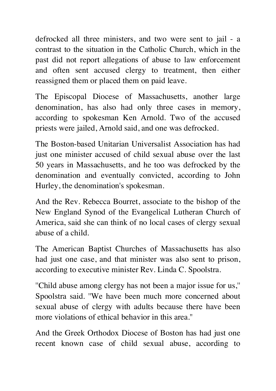defrocked all three ministers, and two were sent to jail - a contrast to the situation in the Catholic Church, which in the past did not report allegations of abuse to law enforcement and often sent accused clergy to treatment, then either reassigned them or placed them on paid leave.

The Episcopal Diocese of Massachusetts, another large denomination, has also had only three cases in memory, according to spokesman Ken Arnold. Two of the accused priests were jailed, Arnold said, and one was defrocked.

The Boston-based Unitarian Universalist Association has had just one minister accused of child sexual abuse over the last 50 years in Massachusetts, and he too was defrocked by the denomination and eventually convicted, according to John Hurley, the denomination's spokesman.

And the Rev. Rebecca Bourret, associate to the bishop of the New England Synod of the Evangelical Lutheran Church of America, said she can think of no local cases of clergy sexual abuse of a child.

The American Baptist Churches of Massachusetts has also had just one case, and that minister was also sent to prison, according to executive minister Rev. Linda C. Spoolstra.

''Child abuse among clergy has not been a major issue for us,'' Spoolstra said. ''We have been much more concerned about sexual abuse of clergy with adults because there have been more violations of ethical behavior in this area.''

And the Greek Orthodox Diocese of Boston has had just one recent known case of child sexual abuse, according to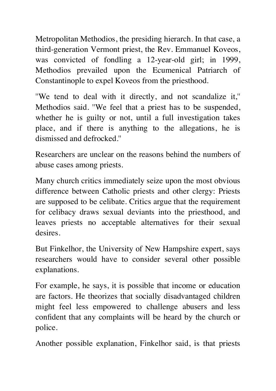Metropolitan Methodios, the presiding hierarch. In that case, a third-generation Vermont priest, the Rev. Emmanuel Koveos, was convicted of fondling a 12-year-old girl; in 1999, Methodios prevailed upon the Ecumenical Patriarch of Constantinople to expel Koveos from the priesthood.

''We tend to deal with it directly, and not scandalize it,'' Methodios said. ''We feel that a priest has to be suspended, whether he is guilty or not, until a full investigation takes place, and if there is anything to the allegations, he is dismissed and defrocked.''

Researchers are unclear on the reasons behind the numbers of abuse cases among priests.

Many church critics immediately seize upon the most obvious difference between Catholic priests and other clergy: Priests are supposed to be celibate. Critics argue that the requirement for celibacy draws sexual deviants into the priesthood, and leaves priests no acceptable alternatives for their sexual desires.

But Finkelhor, the University of New Hampshire expert, says researchers would have to consider several other possible explanations.

For example, he says, it is possible that income or education are factors. He theorizes that socially disadvantaged children might feel less empowered to challenge abusers and less confident that any complaints will be heard by the church or police.

Another possible explanation, Finkelhor said, is that priests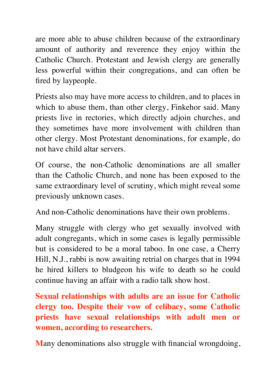are more able to abuse children because of the extraordinary amount of authority and reverence they enjoy within the Catholic Church. Protestant and Jewish clergy are generally less powerful within their congregations, and can often be fired by laypeople.

Priests also may have more access to children, and to places in which to abuse them, than other clergy, Finkehor said. Many priests live in rectories, which directly adjoin churches, and they sometimes have more involvement with children than other clergy. Most Protestant denominations, for example, do not have child altar servers.

Of course, the non-Catholic denominations are all smaller than the Catholic Church, and none has been exposed to the same extraordinary level of scrutiny, which might reveal some previously unknown cases.

And non-Catholic denominations have their own problems.

Many struggle with clergy who get sexually involved with adult congregants, which in some cases is legally permissible but is considered to be a moral taboo. In one case, a Cherry Hill, N.J., rabbi is now awaiting retrial on charges that in 1994 he hired killers to bludgeon his wife to death so he could continue having an affair with a radio talk show host.

**Sexual relationships with adults are an issue for Catholic clergy too. Despite their vow of celibacy, some Catholic priests have sexual relationships with adult men or women, according to researchers.**

**M**any denominations also struggle with financial wrongdoing,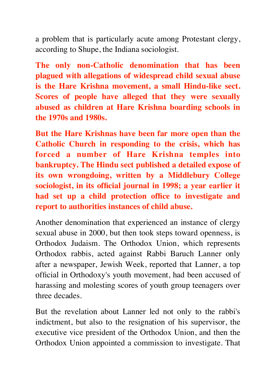a problem that is particularly acute among Protestant clergy, according to Shupe, the Indiana sociologist.

**The only non-Catholic denomination that has been plagued with allegations of widespread child sexual abuse is the Hare Krishna movement, a small Hindu-like sect. Scores of people have alleged that they were sexually abused as children at Hare Krishna boarding schools in the 1970s and 1980s.**

**But the Hare Krishnas have been far more open than the Catholic Church in responding to the crisis, which has forced a number of Hare Krishna temples into bankruptcy. The Hindu sect published a detailed expose of its own wrongdoing, written by a Middlebury College sociologist, in its official journal in 1998; a year earlier it had set up a child protection office to investigate and report to authorities instances of child abuse.**

Another denomination that experienced an instance of clergy sexual abuse in 2000, but then took steps toward openness, is Orthodox Judaism. The Orthodox Union, which represents Orthodox rabbis, acted against Rabbi Baruch Lanner only after a newspaper, Jewish Week, reported that Lanner, a top official in Orthodoxy's youth movement, had been accused of harassing and molesting scores of youth group teenagers over three decades.

But the revelation about Lanner led not only to the rabbi's indictment, but also to the resignation of his supervisor, the executive vice president of the Orthodox Union, and then the Orthodox Union appointed a commission to investigate. That